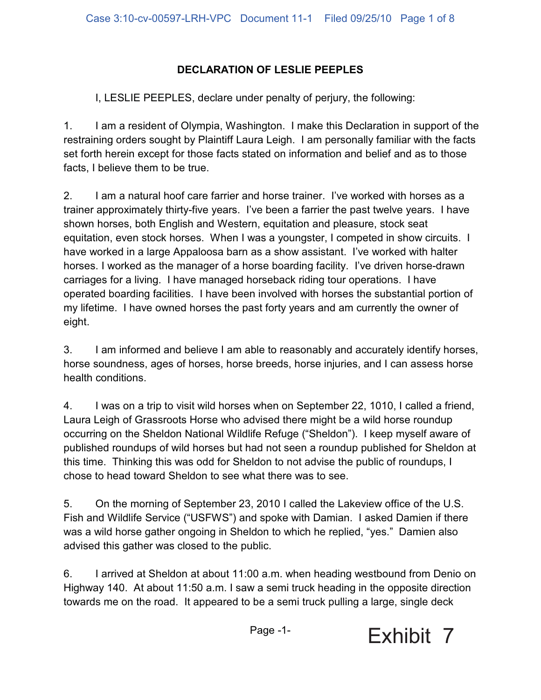## **DECLARATION OF LESLIE PEEPLES**

I, LESLIE PEEPLES, declare under penalty of perjury, the following:

1. I am a resident of Olympia, Washington. I make this Declaration in support of the restraining orders sought by Plaintiff Laura Leigh. I am personally familiar with the facts set forth herein except for those facts stated on information and belief and as to those facts, I believe them to be true.

2. I am a natural hoof care farrier and horse trainer. I've worked with horses as a trainer approximately thirty-five years. I've been a farrier the past twelve years. I have shown horses, both English and Western, equitation and pleasure, stock seat equitation, even stock horses. When I was a youngster, I competed in show circuits. I have worked in a large Appaloosa barn as a show assistant. I've worked with halter horses. I worked as the manager of a horse boarding facility. I've driven horse-drawn carriages for a living. I have managed horseback riding tour operations. I have operated boarding facilities. I have been involved with horses the substantial portion of my lifetime. I have owned horses the past forty years and am currently the owner of eight.

3. I am informed and believe I am able to reasonably and accurately identify horses, horse soundness, ages of horses, horse breeds, horse injuries, and I can assess horse health conditions.

4. I was on a trip to visit wild horses when on September 22, 1010, I called a friend, Laura Leigh of Grassroots Horse who advised there might be a wild horse roundup occurring on the Sheldon National Wildlife Refuge ("Sheldon"). I keep myself aware of published roundups of wild horses but had not seen a roundup published for Sheldon at this time. Thinking this was odd for Sheldon to not advise the public of roundups, I chose to head toward Sheldon to see what there was to see.

5. On the morning of September 23, 2010 I called the Lakeview office of the U.S. Fish and Wildlife Service ("USFWS") and spoke with Damian. I asked Damien if there was a wild horse gather ongoing in Sheldon to which he replied, "yes." Damien also advised this gather was closed to the public.

6. I arrived at Sheldon at about 11:00 a.m. when heading westbound from Denio on Highway 140. At about 11:50 a.m. I saw a semi truck heading in the opposite direction towards me on the road. It appeared to be a semi truck pulling a large, single deck

Page -1-

Exhibit 7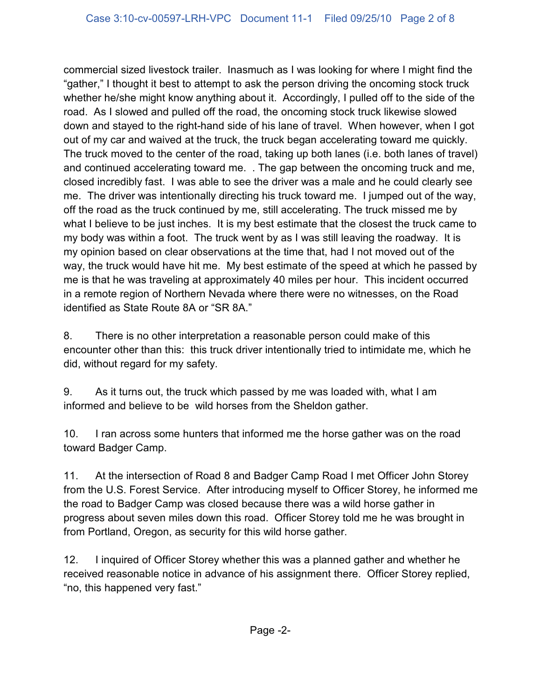commercial sized livestock trailer. Inasmuch as I was looking for where I might find the "gather," I thought it best to attempt to ask the person driving the oncoming stock truck whether he/she might know anything about it. Accordingly, I pulled off to the side of the road. As I slowed and pulled off the road, the oncoming stock truck likewise slowed down and stayed to the right-hand side of his lane of travel. When however, when I got out of my car and waived at the truck, the truck began accelerating toward me quickly. The truck moved to the center of the road, taking up both lanes (i.e. both lanes of travel) and continued accelerating toward me. . The gap between the oncoming truck and me, closed incredibly fast. I was able to see the driver was a male and he could clearly see me. The driver was intentionally directing his truck toward me. I jumped out of the way, off the road as the truck continued by me, still accelerating. The truck missed me by what I believe to be just inches. It is my best estimate that the closest the truck came to my body was within a foot. The truck went by as I was still leaving the roadway. It is my opinion based on clear observations at the time that, had I not moved out of the way, the truck would have hit me. My best estimate of the speed at which he passed by me is that he was traveling at approximately 40 miles per hour. This incident occurred in a remote region of Northern Nevada where there were no witnesses, on the Road identified as State Route 8A or "SR 8A."

8. There is no other interpretation a reasonable person could make of this encounter other than this: this truck driver intentionally tried to intimidate me, which he did, without regard for my safety.

9. As it turns out, the truck which passed by me was loaded with, what I am informed and believe to be wild horses from the Sheldon gather.

10. I ran across some hunters that informed me the horse gather was on the road toward Badger Camp.

11. At the intersection of Road 8 and Badger Camp Road I met Officer John Storey from the U.S. Forest Service. After introducing myself to Officer Storey, he informed me the road to Badger Camp was closed because there was a wild horse gather in progress about seven miles down this road. Officer Storey told me he was brought in from Portland, Oregon, as security for this wild horse gather.

12. I inquired of Officer Storey whether this was a planned gather and whether he received reasonable notice in advance of his assignment there. Officer Storey replied, "no, this happened very fast."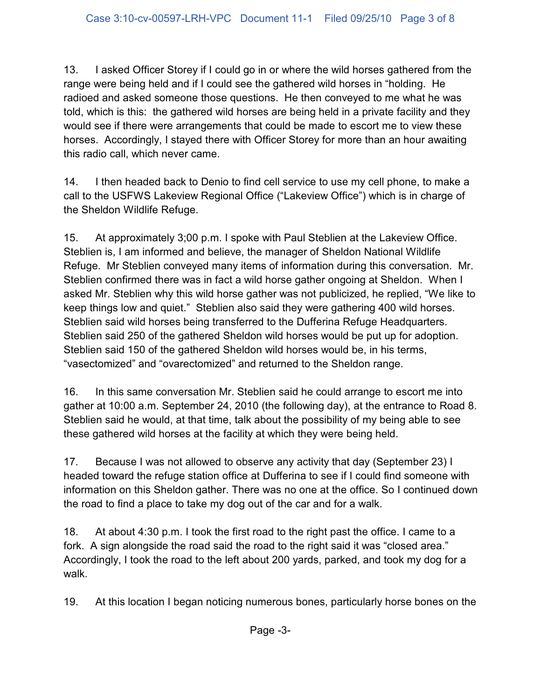13. I asked Officer Storey if I could go in or where the wild horses gathered from the range were being held and if I could see the gathered wild horses in "holding. He radioed and asked someone those questions. He then conveyed to me what he was told, which is this: the gathered wild horses are being held in a private facility and they would see if there were arrangements that could be made to escort me to view these horses. Accordingly, I stayed there with Officer Storey for more than an hour awaiting this radio call, which never came.

14. I then headed back to Denio to find cell service to use my cell phone, to make a call to the USFWS Lakeview Regional Office ("Lakeview Office") which is in charge of the Sheldon Wildlife Refuge.

15. At approximately 3;00 p.m. I spoke with Paul Steblien at the Lakeview Office. Steblien is, I am informed and believe, the manager of Sheldon National Wildlife Refuge. Mr Steblien conveyed many items of information during this conversation. Mr. Steblien confirmed there was in fact a wild horse gather ongoing at Sheldon. When I asked Mr. Steblien why this wild horse gather was not publicized, he replied, "We like to keep things low and quiet." Steblien also said they were gathering 400 wild horses. Steblien said wild horses being transferred to the Dufferina Refuge Headquarters. Steblien said 250 of the gathered Sheldon wild horses would be put up for adoption. Steblien said 150 of the gathered Sheldon wild horses would be, in his terms, "vasectomized" and "ovarectomized" and returned to the Sheldon range.

16. In this same conversation Mr. Steblien said he could arrange to escort me into gather at 10:00 a.m. September 24, 2010 (the following day), at the entrance to Road 8. Steblien said he would, at that time, talk about the possibility of my being able to see these gathered wild horses at the facility at which they were being held.

17. Because I was not allowed to observe any activity that day (September 23) I headed toward the refuge station office at Dufferina to see if I could find someone with information on this Sheldon gather. There was no one at the office. So I continued down the road to find a place to take my dog out of the car and for a walk.

18. At about 4:30 p.m. I took the first road to the right past the office. I came to a fork. A sign alongside the road said the road to the right said it was "closed area." Accordingly, I took the road to the left about 200 yards, parked, and took my dog for a walk.

19. At this location I began noticing numerous bones, particularly horse bones on the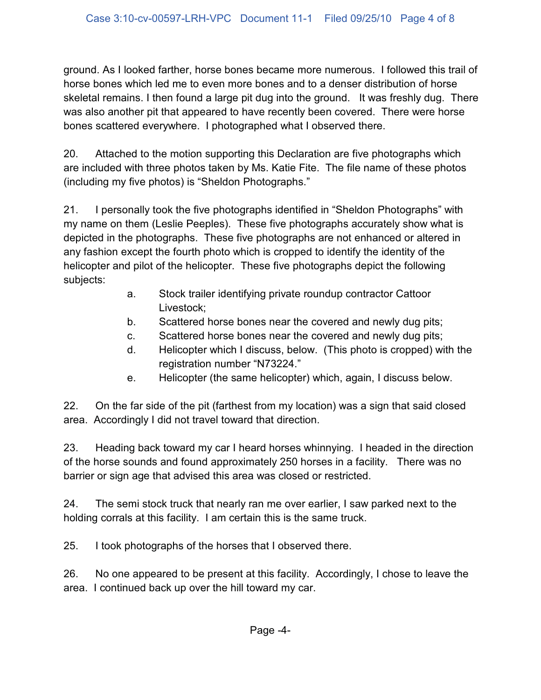ground. As I looked farther, horse bones became more numerous. I followed this trail of horse bones which led me to even more bones and to a denser distribution of horse skeletal remains. I then found a large pit dug into the ground. It was freshly dug. There was also another pit that appeared to have recently been covered. There were horse bones scattered everywhere. I photographed what I observed there.

20. Attached to the motion supporting this Declaration are five photographs which are included with three photos taken by Ms. Katie Fite. The file name of these photos (including my five photos) is "Sheldon Photographs."

21. I personally took the five photographs identified in "Sheldon Photographs" with my name on them (Leslie Peeples). These five photographs accurately show what is depicted in the photographs. These five photographs are not enhanced or altered in any fashion except the fourth photo which is cropped to identify the identity of the helicopter and pilot of the helicopter. These five photographs depict the following subjects:

- a. Stock trailer identifying private roundup contractor Cattoor Livestock;
- b. Scattered horse bones near the covered and newly dug pits;
- c. Scattered horse bones near the covered and newly dug pits;
- d. Helicopter which I discuss, below. (This photo is cropped) with the registration number "N73224."
- e. Helicopter (the same helicopter) which, again, I discuss below.

22. On the far side of the pit (farthest from my location) was a sign that said closed area. Accordingly I did not travel toward that direction.

23. Heading back toward my car I heard horses whinnying. I headed in the direction of the horse sounds and found approximately 250 horses in a facility. There was no barrier or sign age that advised this area was closed or restricted.

24. The semi stock truck that nearly ran me over earlier, I saw parked next to the holding corrals at this facility. I am certain this is the same truck.

25. I took photographs of the horses that I observed there.

26. No one appeared to be present at this facility. Accordingly, I chose to leave the area. I continued back up over the hill toward my car.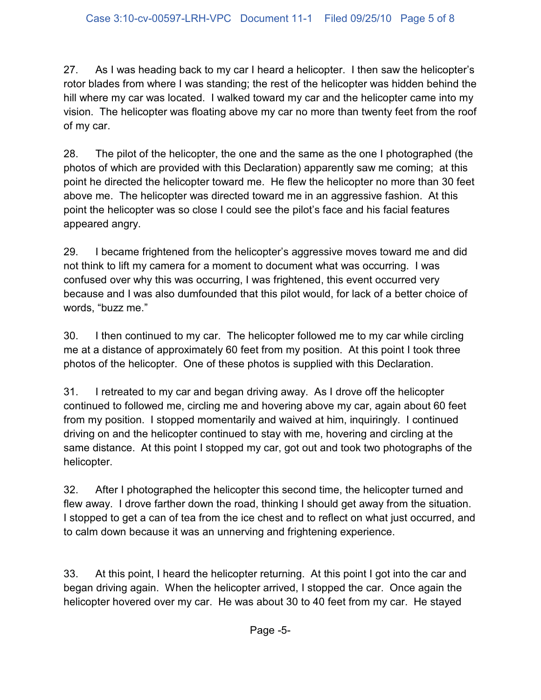27. As I was heading back to my car I heard a helicopter. I then saw the helicopter's rotor blades from where I was standing; the rest of the helicopter was hidden behind the hill where my car was located. I walked toward my car and the helicopter came into my vision. The helicopter was floating above my car no more than twenty feet from the roof of my car.

28. The pilot of the helicopter, the one and the same as the one I photographed (the photos of which are provided with this Declaration) apparently saw me coming; at this point he directed the helicopter toward me. He flew the helicopter no more than 30 feet above me. The helicopter was directed toward me in an aggressive fashion. At this point the helicopter was so close I could see the pilot's face and his facial features appeared angry.

29. I became frightened from the helicopter's aggressive moves toward me and did not think to lift my camera for a moment to document what was occurring. I was confused over why this was occurring, I was frightened, this event occurred very because and I was also dumfounded that this pilot would, for lack of a better choice of words, "buzz me."

30. I then continued to my car. The helicopter followed me to my car while circling me at a distance of approximately 60 feet from my position. At this point I took three photos of the helicopter. One of these photos is supplied with this Declaration.

31. I retreated to my car and began driving away. As I drove off the helicopter continued to followed me, circling me and hovering above my car, again about 60 feet from my position. I stopped momentarily and waived at him, inquiringly. I continued driving on and the helicopter continued to stay with me, hovering and circling at the same distance. At this point I stopped my car, got out and took two photographs of the helicopter.

32. After I photographed the helicopter this second time, the helicopter turned and flew away. I drove farther down the road, thinking I should get away from the situation. I stopped to get a can of tea from the ice chest and to reflect on what just occurred, and to calm down because it was an unnerving and frightening experience.

33. At this point, I heard the helicopter returning. At this point I got into the car and began driving again. When the helicopter arrived, I stopped the car. Once again the helicopter hovered over my car. He was about 30 to 40 feet from my car. He stayed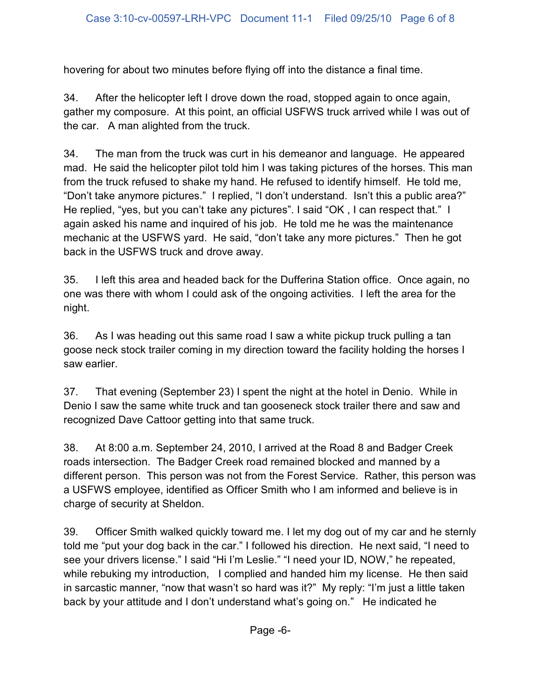hovering for about two minutes before flying off into the distance a final time.

34. After the helicopter left I drove down the road, stopped again to once again, gather my composure. At this point, an official USFWS truck arrived while I was out of the car. A man alighted from the truck.

34. The man from the truck was curt in his demeanor and language. He appeared mad. He said the helicopter pilot told him I was taking pictures of the horses. This man from the truck refused to shake my hand. He refused to identify himself. He told me, "Don't take anymore pictures." I replied, "I don't understand. Isn't this a public area?" He replied, "yes, but you can't take any pictures". I said "OK, I can respect that." I again asked his name and inquired of his job. He told me he was the maintenance mechanic at the USFWS yard. He said, "don't take any more pictures." Then he got back in the USFWS truck and drove away.

35. I left this area and headed back for the Dufferina Station office. Once again, no one was there with whom I could ask of the ongoing activities. I left the area for the night.

36. As I was heading out this same road I saw a white pickup truck pulling a tan goose neck stock trailer coming in my direction toward the facility holding the horses I saw earlier.

37. That evening (September 23) I spent the night at the hotel in Denio. While in Denio I saw the same white truck and tan gooseneck stock trailer there and saw and recognized Dave Cattoor getting into that same truck.

38. At 8:00 a.m. September 24, 2010, I arrived at the Road 8 and Badger Creek roads intersection. The Badger Creek road remained blocked and manned by a different person. This person was not from the Forest Service. Rather, this person was a USFWS employee, identified as Officer Smith who I am informed and believe is in charge of security at Sheldon.

39. Officer Smith walked quickly toward me. I let my dog out of my car and he sternly told me "put your dog back in the car." I followed his direction. He next said, "I need to see your drivers license." I said "Hi I'm Leslie." "I need your ID, NOW," he repeated, while rebuking my introduction, I complied and handed him my license. He then said in sarcastic manner, "now that wasn't so hard was it?" My reply: "I'm just a little taken back by your attitude and I don't understand what's going on." He indicated he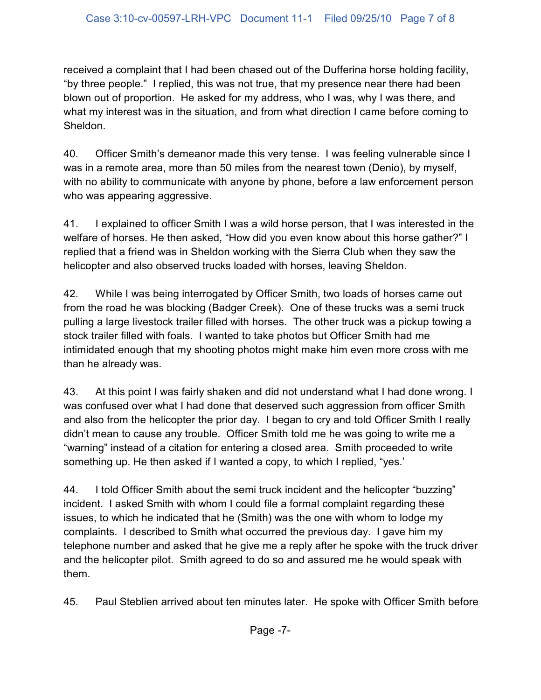received a complaint that I had been chased out of the Dufferina horse holding facility, "by three people." I replied, this was not true, that my presence near there had been blown out of proportion. He asked for my address, who I was, why I was there, and what my interest was in the situation, and from what direction I came before coming to Sheldon.

40. Officer Smith's demeanor made this very tense. I was feeling vulnerable since I was in a remote area, more than 50 miles from the nearest town (Denio), by myself, with no ability to communicate with anyone by phone, before a law enforcement person who was appearing aggressive.

41. I explained to officer Smith I was a wild horse person, that I was interested in the welfare of horses. He then asked, "How did you even know about this horse gather?" I replied that a friend was in Sheldon working with the Sierra Club when they saw the helicopter and also observed trucks loaded with horses, leaving Sheldon.

42. While I was being interrogated by Officer Smith, two loads of horses came out from the road he was blocking (Badger Creek). One of these trucks was a semi truck pulling a large livestock trailer filled with horses. The other truck was a pickup towing a stock trailer filled with foals. I wanted to take photos but Officer Smith had me intimidated enough that my shooting photos might make him even more cross with me than he already was.

43. At this point I was fairly shaken and did not understand what I had done wrong. I was confused over what I had done that deserved such aggression from officer Smith and also from the helicopter the prior day. I began to cry and told Officer Smith I really didn't mean to cause any trouble. Officer Smith told me he was going to write me a "warning" instead of a citation for entering a closed area. Smith proceeded to write something up. He then asked if I wanted a copy, to which I replied, "yes.'

44. I told Officer Smith about the semi truck incident and the helicopter "buzzing" incident. I asked Smith with whom I could file a formal complaint regarding these issues, to which he indicated that he (Smith) was the one with whom to lodge my complaints. I described to Smith what occurred the previous day. I gave him my telephone number and asked that he give me a reply after he spoke with the truck driver and the helicopter pilot. Smith agreed to do so and assured me he would speak with them.

45. Paul Steblien arrived about ten minutes later. He spoke with Officer Smith before